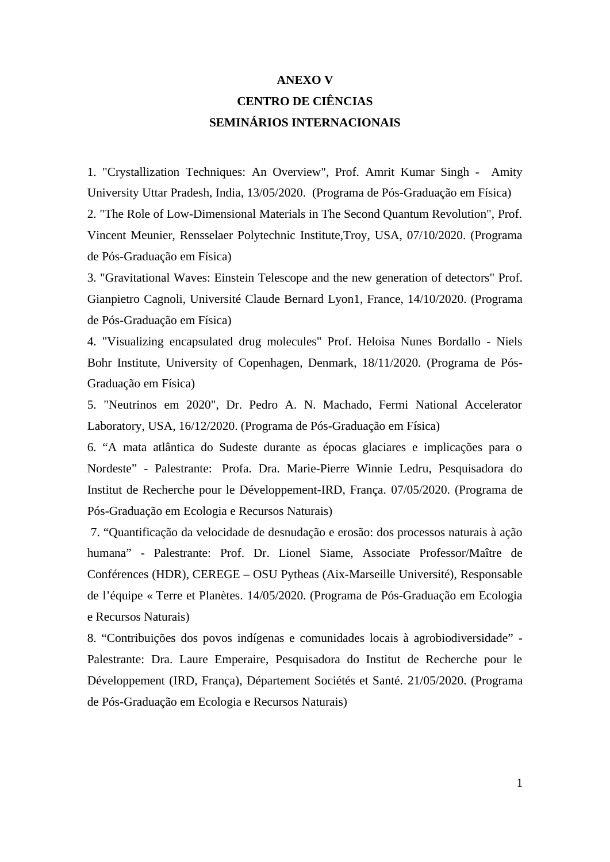## **ANEXO V CENTRO DE CIÊNCIAS SEMINÁRIOS INTERNACIONAIS**

1. "Crystallization Techniques: An Overview", Prof. Amrit Kumar Singh - Amity University Uttar Pradesh, India, 13/05/2020. (Programa de Pós-Graduação em Física) 2. "The Role of Low-Dimensional Materials in The Second Quantum Revolution", Prof. Vincent Meunier, Rensselaer Polytechnic Institute,Troy, USA, 07/10/2020. (Programa de Pós-Graduação em Física)

3. "Gravitational Waves: Einstein Telescope and the new generation of detectors" Prof. Gianpietro Cagnoli, Université Claude Bernard Lyon1, France, 14/10/2020. (Programa de Pós-Graduação em Física)

4. "Visualizing encapsulated drug molecules" Prof. Heloisa Nunes Bordallo - Niels Bohr Institute, University of Copenhagen, Denmark, 18/11/2020. (Programa de Pós-Graduação em Física)

5. "Neutrinos em 2020", Dr. Pedro A. N. Machado, Fermi National Accelerator Laboratory, USA, 16/12/2020. (Programa de Pós-Graduação em Física)

6. "A mata atlântica do Sudeste durante as épocas glaciares e implicações para o Nordeste" - Palestrante: Profa. Dra. Marie-Pierre Winnie Ledru, Pesquisadora do Institut de Recherche pour le Développement-IRD, França. 07/05/2020. (Programa de Pós-Graduação em Ecologia e Recursos Naturais)

 7. "Quantificação da velocidade de desnudação e erosão: dos processos naturais à ação humana" - Palestrante: Prof. Dr. Lionel Siame, Associate Professor/Maître de Conférences (HDR), CEREGE – OSU Pytheas (Aix-Marseille Université), Responsable de l'équipe « Terre et Planètes. 14/05/2020. (Programa de Pós-Graduação em Ecologia e Recursos Naturais)

8. "Contribuições dos povos indígenas e comunidades locais à agrobiodiversidade" - Palestrante: Dra. Laure Emperaire, Pesquisadora do Institut de Recherche pour le Développement (IRD, França), Département Sociétés et Santé. 21/05/2020. (Programa de Pós-Graduação em Ecologia e Recursos Naturais)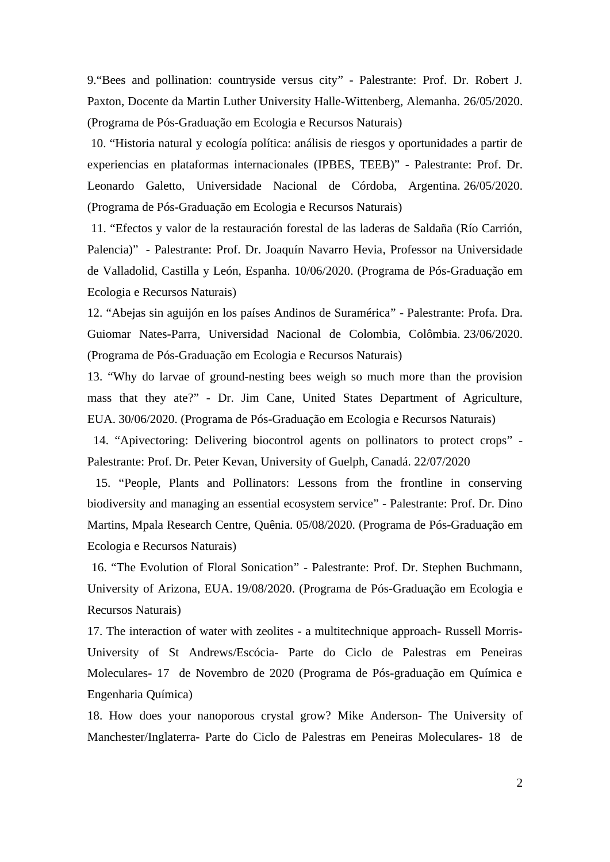9."Bees and pollination: countryside versus city" - Palestrante: Prof. Dr. Robert J. Paxton, Docente da Martin Luther University Halle-Wittenberg, Alemanha. 26/05/2020. (Programa de Pós-Graduação em Ecologia e Recursos Naturais)

 10. "Historia natural y ecología política: análisis de riesgos y oportunidades a partir de experiencias en plataformas internacionales (IPBES, TEEB)" - Palestrante: Prof. Dr. Leonardo Galetto, Universidade Nacional de Córdoba, Argentina. 26/05/2020. (Programa de Pós-Graduação em Ecologia e Recursos Naturais)

 11. "Efectos y valor de la restauración forestal de las laderas de Saldaña (Río Carrión, Palencia)" - Palestrante: Prof. Dr. Joaquín Navarro Hevia, Professor na Universidade de Valladolid, Castilla y León, Espanha. 10/06/2020. (Programa de Pós-Graduação em Ecologia e Recursos Naturais)

12. "Abejas sin aguijón en los países Andinos de Suramérica" - Palestrante: Profa. Dra. Guiomar Nates-Parra, Universidad Nacional de Colombia, Colômbia. 23/06/2020. (Programa de Pós-Graduação em Ecologia e Recursos Naturais)

13. "Why do larvae of ground-nesting bees weigh so much more than the provision mass that they ate?" - Dr. Jim Cane, United States Department of Agriculture, EUA. 30/06/2020. (Programa de Pós-Graduação em Ecologia e Recursos Naturais)

 14. "Apivectoring: Delivering biocontrol agents on pollinators to protect crops" - Palestrante: Prof. Dr. Peter Kevan, University of Guelph, Canadá. 22/07/2020

 15. "People, Plants and Pollinators: Lessons from the frontline in conserving biodiversity and managing an essential ecosystem service" - Palestrante: Prof. Dr. Dino Martins, Mpala Research Centre, Quênia. 05/08/2020. (Programa de Pós-Graduação em Ecologia e Recursos Naturais)

 16. "The Evolution of Floral Sonication" - Palestrante: Prof. Dr. Stephen Buchmann, University of Arizona, EUA. 19/08/2020. (Programa de Pós-Graduação em Ecologia e Recursos Naturais)

17. The interaction of water with zeolites - a multitechnique approach- Russell Morris-University of St Andrews/Escócia- Parte do Ciclo de Palestras em Peneiras Moleculares- 17 de Novembro de 2020 (Programa de Pós-graduação em Química e Engenharia Química)

18. How does your nanoporous crystal grow? Mike Anderson- The University of Manchester/Inglaterra- Parte do Ciclo de Palestras em Peneiras Moleculares- 18 de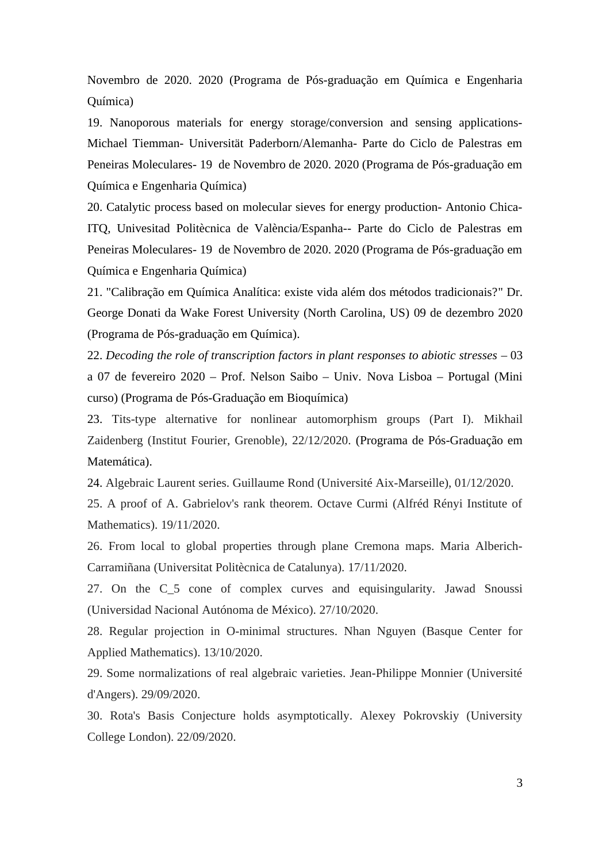Novembro de 2020. 2020 (Programa de Pós-graduação em Química e Engenharia Química)

19. Nanoporous materials for energy storage/conversion and sensing applications-Michael Tiemman- Universität Paderborn/Alemanha- Parte do Ciclo de Palestras em Peneiras Moleculares- 19 de Novembro de 2020. 2020 (Programa de Pós-graduação em Química e Engenharia Química)

20. Catalytic process based on molecular sieves for energy production- Antonio Chica-ITQ, Univesitad Politècnica de València/Espanha-- Parte do Ciclo de Palestras em Peneiras Moleculares- 19 de Novembro de 2020. 2020 (Programa de Pós-graduação em Química e Engenharia Química)

21. "Calibração em Química Analítica: existe vida além dos métodos tradicionais?" Dr. George Donati da Wake Forest University (North Carolina, US) 09 de dezembro 2020 (Programa de Pós-graduação em Química).

22. *Decoding the role of transcription factors in plant responses to abiotic stresses* – 03 a 07 de fevereiro 2020 – Prof. Nelson Saibo – Univ. Nova Lisboa – Portugal (Mini curso) (Programa de Pós-Graduação em Bioquímica)

23. Tits-type alternative for nonlinear automorphism groups (Part I). Mikhail Zaidenberg (Institut Fourier, Grenoble), 22/12/2020. (Programa de Pós-Graduação em Matemática).

24. Algebraic Laurent series. Guillaume Rond (Université Aix-Marseille), 01/12/2020.

25. A proof of A. Gabrielov's rank theorem. Octave Curmi (Alfréd Rényi Institute of Mathematics). 19/11/2020.

26. From local to global properties through plane Cremona maps. Maria Alberich-Carramiñana (Universitat Politècnica de Catalunya). 17/11/2020.

27. On the C\_5 cone of complex curves and equisingularity. Jawad Snoussi (Universidad Nacional Autónoma de México). 27/10/2020.

28. Regular projection in O-minimal structures. Nhan Nguyen (Basque Center for Applied Mathematics). 13/10/2020.

29. Some normalizations of real algebraic varieties. Jean-Philippe Monnier (Université d'Angers). 29/09/2020.

30. Rota's Basis Conjecture holds asymptotically. Alexey Pokrovskiy (University College London). 22/09/2020.

3